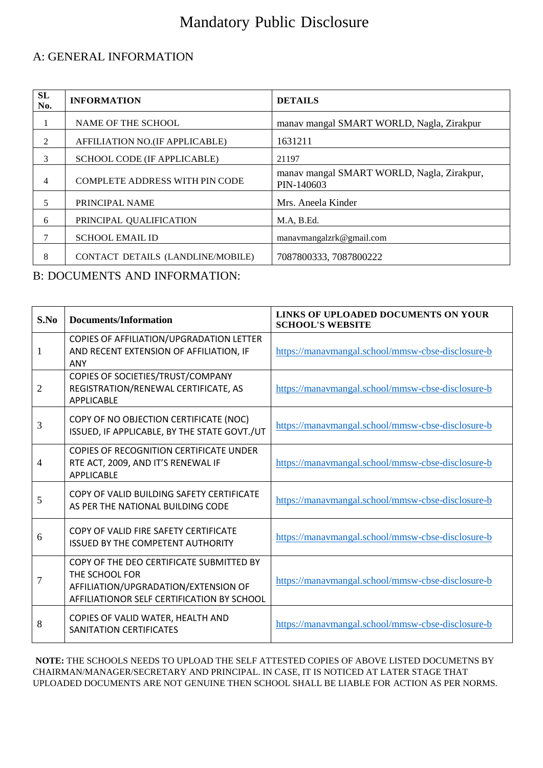# Mandatory Public Disclosure

#### A: GENERAL INFORMATION

| SL<br>No.     | <b>INFORMATION</b>                    | <b>DETAILS</b>                                           |  |
|---------------|---------------------------------------|----------------------------------------------------------|--|
|               | NAME OF THE SCHOOL                    | manav mangal SMART WORLD, Nagla, Zirakpur                |  |
| $\mathcal{L}$ | AFFILIATION NO.(IF APPLICABLE)        | 1631211                                                  |  |
| 3             | SCHOOL CODE (IF APPLICABLE)           | 21197                                                    |  |
| 4             | <b>COMPLETE ADDRESS WITH PIN CODE</b> | manav mangal SMART WORLD, Nagla, Zirakpur,<br>PIN-140603 |  |
| 5             | PRINCIPAL NAME                        | Mrs. Aneela Kinder                                       |  |
| 6             | PRINCIPAL QUALIFICATION               | M.A, B.Ed.                                               |  |
|               | <b>SCHOOL EMAIL ID</b>                | manavmangalzrk@gmail.com                                 |  |
| 8             | CONTACT DETAILS (LANDLINE/MOBILE)     | 7087800333, 7087800222                                   |  |

B: DOCUMENTS AND INFORMATION:

| S.No | <b>Documents/Information</b>                                                                                                                     | LINKS OF UPLOADED DOCUMENTS ON YOUR<br><b>SCHOOL'S WEBSITE</b> |
|------|--------------------------------------------------------------------------------------------------------------------------------------------------|----------------------------------------------------------------|
| 1    | COPIES OF AFFILIATION/UPGRADATION LETTER<br>AND RECENT EXTENSION OF AFFILIATION, IF<br><b>ANY</b>                                                | https://manavmangal.school/mmsw-cbse-disclosure-b              |
| 2    | COPIES OF SOCIETIES/TRUST/COMPANY<br>REGISTRATION/RENEWAL CERTIFICATE, AS<br><b>APPLICABLE</b>                                                   | https://manavmangal.school/mmsw-cbse-disclosure-b              |
| 3    | COPY OF NO OBJECTION CERTIFICATE (NOC)<br>ISSUED, IF APPLICABLE, BY THE STATE GOVT./UT                                                           | https://manavmangal.school/mmsw-cbse-disclosure-b              |
| 4    | COPIES OF RECOGNITION CERTIFICATE UNDER<br>RTE ACT, 2009, AND IT'S RENEWAL IF<br><b>APPLICABLE</b>                                               | https://manavmangal.school/mmsw-cbse-disclosure-b              |
| 5    | COPY OF VALID BUILDING SAFETY CERTIFICATE<br>AS PER THE NATIONAL BUILDING CODE                                                                   | https://manavmangal.school/mmsw-cbse-disclosure-b              |
| 6    | COPY OF VALID FIRE SAFETY CERTIFICATE<br><b>ISSUED BY THE COMPETENT AUTHORITY</b>                                                                | https://manavmangal.school/mmsw-cbse-disclosure-b              |
| 7    | COPY OF THE DEO CERTIFICATE SUBMITTED BY<br>THE SCHOOL FOR<br>AFFILIATION/UPGRADATION/EXTENSION OF<br>AFFILIATIONOR SELF CERTIFICATION BY SCHOOL | https://manavmangal.school/mmsw-cbse-disclosure-b              |
| 8    | COPIES OF VALID WATER, HEALTH AND<br>SANITATION CERTIFICATES                                                                                     | https://manavmangal.school/mmsw-cbse-disclosure-b              |

**NOTE:** THE SCHOOLS NEEDS TO UPLOAD THE SELF ATTESTED COPIES OF ABOVE LISTED DOCUMETNS BY CHAIRMAN/MANAGER/SECRETARY AND PRINCIPAL. IN CASE, IT IS NOTICED AT LATER STAGE THAT UPLOADED DOCUMENTS ARE NOT GENUINE THEN SCHOOL SHALL BE LIABLE FOR ACTION AS PER NORMS.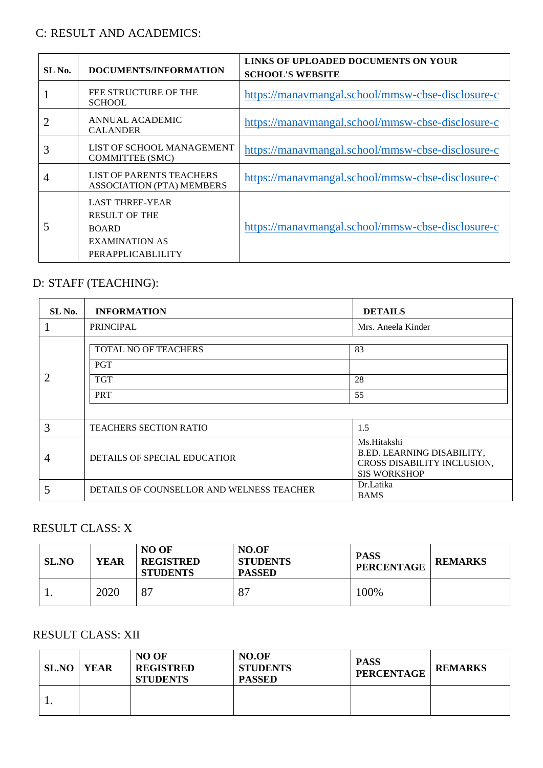#### C: RESULT AND ACADEMICS:

| SL No. | DOCUMENTS/INFORMATION                                                                                        | LINKS OF UPLOADED DOCUMENTS ON YOUR<br><b>SCHOOL'S WEBSITE</b> |
|--------|--------------------------------------------------------------------------------------------------------------|----------------------------------------------------------------|
|        | FEE STRUCTURE OF THE<br><b>SCHOOL</b>                                                                        | https://manaymangal.school/mmsw-cbse-disclosure-c              |
|        | ANNUAL ACADEMIC<br><b>CALANDER</b>                                                                           | https://manavmangal.school/mmsw-cbse-disclosure-c              |
| 3      | LIST OF SCHOOL MANAGEMENT<br><b>COMMITTEE (SMC)</b>                                                          | https://manavmangal.school/mmsw-cbse-disclosure-c              |
| 4      | <b>LIST OF PARENTS TEACHERS</b><br><b>ASSOCIATION (PTA) MEMBERS</b>                                          | https://manavmangal.school/mmsw-cbse-disclosure-c              |
| 5      | <b>LAST THREE-YEAR</b><br><b>RESULT OF THE</b><br><b>BOARD</b><br><b>EXAMINATION AS</b><br>PERAPPLICABLILITY | https://manavmangal.school/mmsw-cbse-disclosure-c              |

### D: STAFF (TEACHING):

| SL No. | <b>INFORMATION</b>                                             | <b>DETAILS</b>                                                                                  |  |
|--------|----------------------------------------------------------------|-------------------------------------------------------------------------------------------------|--|
|        | <b>PRINCIPAL</b>                                               | Mrs. Aneela Kinder                                                                              |  |
|        | TOTAL NO OF TEACHERS<br><b>PGT</b><br><b>TGT</b><br><b>PRT</b> | 83<br>28<br>55                                                                                  |  |
| 3      | <b>TEACHERS SECTION RATIO</b>                                  | 1.5                                                                                             |  |
| 4      | DETAILS OF SPECIAL EDUCATIOR                                   | Ms.Hitakshi<br>B.ED. LEARNING DISABILITY,<br>CROSS DISABILITY INCLUSION,<br><b>SIS WORKSHOP</b> |  |
| 5      | DETAILS OF COUNSELLOR AND WELNESS TEACHER                      | Dr.Latika<br><b>BAMS</b>                                                                        |  |

# RESULT CLASS: X

| <b>SL.NO</b> | <b>YEAR</b> | NO OF<br><b>REGISTRED</b><br><b>STUDENTS</b> | NO.OF<br><b>STUDENTS</b><br><b>PASSED</b> | <b>PASS</b><br><b>PERCENTAGE</b> | <b>REMARKS</b> |
|--------------|-------------|----------------------------------------------|-------------------------------------------|----------------------------------|----------------|
|              | 2020        | 87                                           | 87                                        | 100%                             |                |

### RESULT CLASS: XII

| <b>SL.NO   YEAR</b> | <b>NO OF</b><br><b>REGISTRED</b><br><b>STUDENTS</b> | NO.OF<br><b>STUDENTS</b><br><b>PASSED</b> | <b>PASS</b><br><b>PERCENTAGE</b> | <b>REMARKS</b> |
|---------------------|-----------------------------------------------------|-------------------------------------------|----------------------------------|----------------|
| . .                 |                                                     |                                           |                                  |                |